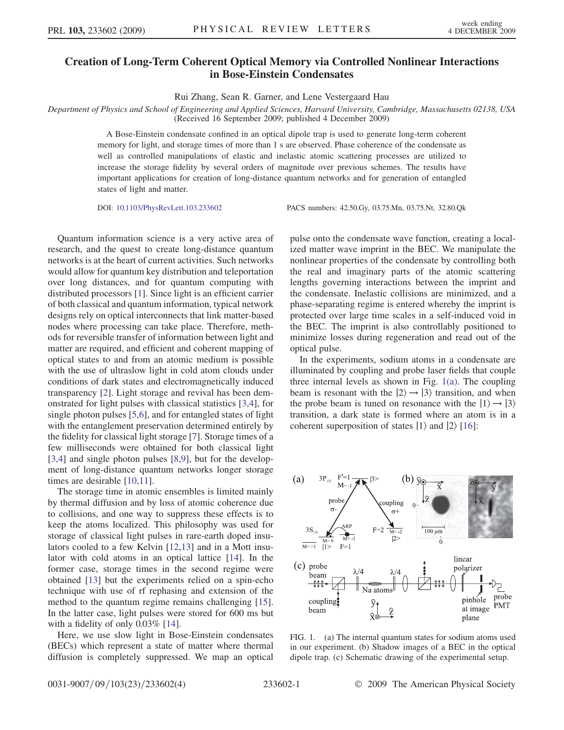## Creation of Long-Term Coherent Optical Memory via Controlled Nonlinear Interactions in Bose-Einstein Condensates

Rui Zhang, Sean R. Garner, and Lene Vestergaard Hau

Department of Physics and School of Engineering and Applied Sciences, Harvard University, Cambridge, Massachusetts 02138, USA (Received 16 September 2009; published 4 December 2009)

> A Bose-Einstein condensate confined in an optical dipole trap is used to generate long-term coherent memory for light, and storage times of more than 1 s are observed. Phase coherence of the condensate as well as controlled manipulations of elastic and inelastic atomic scattering processes are utilized to increase the storage fidelity by several orders of magnitude over previous schemes. The results have important applications for creation of long-distance quantum networks and for generation of entangled states of light and matter.

DOI: [10.1103/PhysRevLett.103.233602](http://dx.doi.org/10.1103/PhysRevLett.103.233602) PACS numbers: 42.50.Gy, 03.75.Mn, 03.75.Nt, 32.80.Qk

Quantum information science is a very active area of research, and the quest to create long-distance quantum networks is at the heart of current activities. Such networks would allow for quantum key distribution and teleportation over long distances, and for quantum computing with distributed processors [\[1\]](#page-3-0). Since light is an efficient carrier of both classical and quantum information, typical network designs rely on optical interconnects that link matter-based nodes where processing can take place. Therefore, methods for reversible transfer of information between light and matter are required, and efficient and coherent mapping of optical states to and from an atomic medium is possible with the use of ultraslow light in cold atom clouds under conditions of dark states and electromagnetically induced transparency [[2](#page-3-1)]. Light storage and revival has been demonstrated for light pulses with classical statistics [[3,](#page-3-2)[4\]](#page-3-3), for single photon pulses [\[5](#page-3-4)[,6](#page-3-5)], and for entangled states of light with the entanglement preservation determined entirely by the fidelity for classical light storage [[7\]](#page-3-6). Storage times of a few milliseconds were obtained for both classical light [\[3,](#page-3-2)[4](#page-3-3)] and single photon pulses [[8](#page-3-7),[9\]](#page-3-8), but for the development of long-distance quantum networks longer storage times are desirable [\[10](#page-3-9)[,11\]](#page-3-10).

The storage time in atomic ensembles is limited mainly by thermal diffusion and by loss of atomic coherence due to collisions, and one way to suppress these effects is to keep the atoms localized. This philosophy was used for storage of classical light pulses in rare-earth doped insulators cooled to a few Kelvin [[12](#page-3-11),[13](#page-3-12)] and in a Mott insulator with cold atoms in an optical lattice [[14](#page-3-13)]. In the former case, storage times in the second regime were obtained [[13](#page-3-12)] but the experiments relied on a spin-echo technique with use of rf rephasing and extension of the method to the quantum regime remains challenging [[15\]](#page-3-14). In the latter case, light pulses were stored for 600 ms but with a fidelity of only 0.03% [\[14\]](#page-3-13).

Here, we use slow light in Bose-Einstein condensates (BECs) which represent a state of matter where thermal diffusion is completely suppressed. We map an optical pulse onto the condensate wave function, creating a localized matter wave imprint in the BEC. We manipulate the nonlinear properties of the condensate by controlling both the real and imaginary parts of the atomic scattering lengths governing interactions between the imprint and the condensate. Inelastic collisions are minimized, and a phase-separating regime is entered whereby the imprint is protected over large time scales in a self-induced void in the BEC. The imprint is also controllably positioned to minimize losses during regeneration and read out of the optical pulse.

In the experiments, sodium atoms in a condensate are illuminated by coupling and probe laser fields that couple three internal levels as shown in Fig. [1\(a\).](#page-0-0) The coupling beam is resonant with the  $|2\rangle \rightarrow |3\rangle$  transition, and when the probe beam is tuned on resonance with the  $|1\rangle \rightarrow |3\rangle$ transition, a dark state is formed where an atom is in a coherent superposition of states  $|1\rangle$  and  $|2\rangle$  [[16](#page-3-15)]:

<span id="page-0-1"></span>

<span id="page-0-0"></span>FIG. 1. (a) The internal quantum states for sodium atoms used in our experiment. (b) Shadow images of a BEC in the optical dipole trap. (c) Schematic drawing of the experimental setup.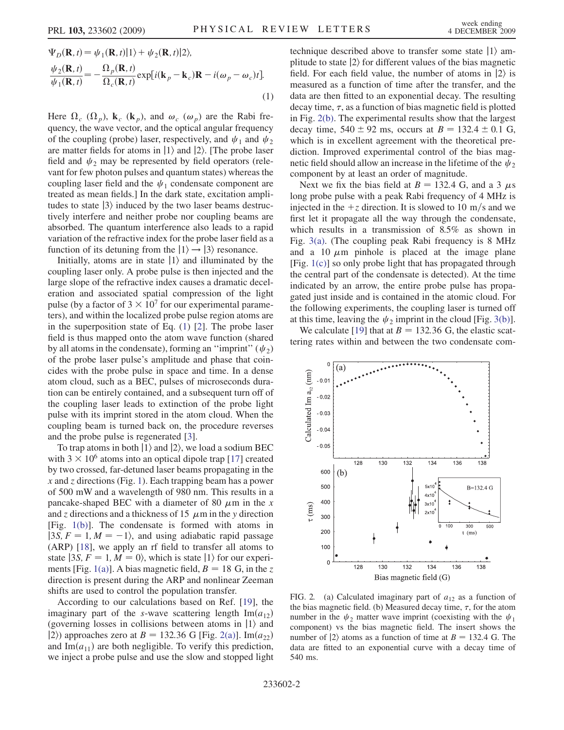<span id="page-1-0"></span>
$$
\Psi_D(\mathbf{R}, t) = \psi_1(\mathbf{R}, t)|1\rangle + \psi_2(\mathbf{R}, t)|2\rangle,
$$
  
\n
$$
\frac{\psi_2(\mathbf{R}, t)}{\psi_1(\mathbf{R}, t)} = -\frac{\Omega_p(\mathbf{R}, t)}{\Omega_c(\mathbf{R}, t)} \exp[i(\mathbf{k}_p - \mathbf{k}_c)\mathbf{R} - i(\omega_p - \omega_c)t].
$$
\n(1)

Here  $\Omega_c$  ( $\Omega_p$ ),  $\mathbf{k}_c$  ( $\mathbf{k}_p$ ), and  $\omega_c$  ( $\omega_p$ ) are the Rabi frequency, the wave vector, and the optical angular frequency of the coupling (probe) laser, respectively, and  $\psi_1$  and  $\psi_2$ are matter fields for atoms in  $|1\rangle$  and  $|2\rangle$ . [The probe laser field and  $\psi_2$  may be represented by field operators (relevant for few photon pulses and quantum states) whereas the coupling laser field and the  $\psi_1$  condensate component are treated as mean fields.] In the dark state, excitation amplitudes to state  $|3\rangle$  induced by the two laser beams destructively interfere and neither probe nor coupling beams are absorbed. The quantum interference also leads to a rapid variation of the refractive index for the probe laser field as a function of its detuning from the  $|1\rangle \rightarrow |3\rangle$  resonance.

Initially, atoms are in state  $|1\rangle$  and illuminated by the coupling laser only. A probe pulse is then injected and the large slope of the refractive index causes a dramatic deceleration and associated spatial compression of the light pulse (by a factor of  $3 \times 10^7$  for our experimental parameters), and within the localized probe pulse region atoms are in the superposition state of Eq. [\(1](#page-1-0)) [\[2](#page-3-1)]. The probe laser field is thus mapped onto the atom wave function (shared by all atoms in the condensate), forming an "imprint"  $(\psi_2)$ of the probe laser pulse's amplitude and phase that coincides with the probe pulse in space and time. In a dense atom cloud, such as a BEC, pulses of microseconds duration can be entirely contained, and a subsequent turn off of the coupling laser leads to extinction of the probe light pulse with its imprint stored in the atom cloud. When the coupling beam is turned back on, the procedure reverses and the probe pulse is regenerated [\[3\]](#page-3-2).

To trap atoms in both  $|1\rangle$  and  $|2\rangle$ , we load a sodium BEC with  $3 \times 10^6$  atoms into an optical dipole trap [\[17\]](#page-3-16) created by two crossed, far-detuned laser beams propagating in the  $x$  and  $z$  directions (Fig. [1](#page-0-1)). Each trapping beam has a power of 500 mW and a wavelength of 980 nm. This results in a pancake-shaped BEC with a diameter of 80  $\mu$ m in the x and z directions and a thickness of 15  $\mu$ m in the y direction [Fig. [1\(b\)\]](#page-0-0). The condensate is formed with atoms in  $|3S, F = 1, M = -1\rangle$ , and using adiabatic rapid passage (ARP) [[18](#page-3-17)], we apply an rf field to transfer all atoms to state  $|3S, F = 1, M = 0\rangle$ , which is state  $|1\rangle$  for our experi-ments [Fig. [1\(a\)](#page-0-0)]. A bias magnetic field,  $B = 18$  G, in the z direction is present during the ARP and nonlinear Zeeman shifts are used to control the population transfer.

According to our calculations based on Ref. [[19\]](#page-3-18), the imaginary part of the s-wave scattering length  $Im(a_{12})$ (governing losses in collisions between atoms in  $|1\rangle$  and  $|2\rangle$ ) approaches zero at B = 132.36 G [Fig. [2\(a\)\]](#page-1-1). Im $(a_{22})$ and Im $(a_{11})$  are both negligible. To verify this prediction, we inject a probe pulse and use the slow and stopped light technique described above to transfer some state  $|1\rangle$  amplitude to state  $|2\rangle$  for different values of the bias magnetic field. For each field value, the number of atoms in  $|2\rangle$  is measured as a function of time after the transfer, and the data are then fitted to an exponential decay. The resulting decay time,  $\tau$ , as a function of bias magnetic field is plotted in Fig. [2\(b\)](#page-1-1). The experimental results show that the largest decay time,  $540 \pm 92$  ms, occurs at  $B = 132.4 \pm 0.1$  G, which is in excellent agreement with the theoretical prediction. Improved experimental control of the bias magnetic field should allow an increase in the lifetime of the  $\psi_2$ component by at least an order of magnitude.

Next we fix the bias field at  $B = 132.4$  G, and a 3  $\mu$ s long probe pulse with a peak Rabi frequency of 4 MHz is injected in the  $+z$  direction. It is slowed to 10 m/s and we first let it propagate all the way through the condensate, which results in a transmission of 8.5% as shown in Fig. [3\(a\).](#page-2-0) (The coupling peak Rabi frequency is 8 MHz and a 10  $\mu$ m pinhole is placed at the image plane [Fig. [1\(c\)\]](#page-0-0) so only probe light that has propagated through the central part of the condensate is detected). At the time indicated by an arrow, the entire probe pulse has propagated just inside and is contained in the atomic cloud. For the following experiments, the coupling laser is turned off at this time, leaving the  $\psi_2$  imprint in the cloud [Fig. [3\(b\)\]](#page-2-0).

We calculate [[19](#page-3-18)] that at  $B = 132.36$  G, the elastic scattering rates within and between the two condensate com-



<span id="page-1-1"></span>FIG. 2. (a) Calculated imaginary part of  $a_{12}$  as a function of the bias magnetic field. (b) Measured decay time,  $\tau$ , for the atom number in the  $\psi_2$  matter wave imprint (coexisting with the  $\psi_1$ component) vs the bias magnetic field. The insert shows the number of  $|2\rangle$  atoms as a function of time at  $B = 132.4$  G. The data are fitted to an exponential curve with a decay time of 540 ms.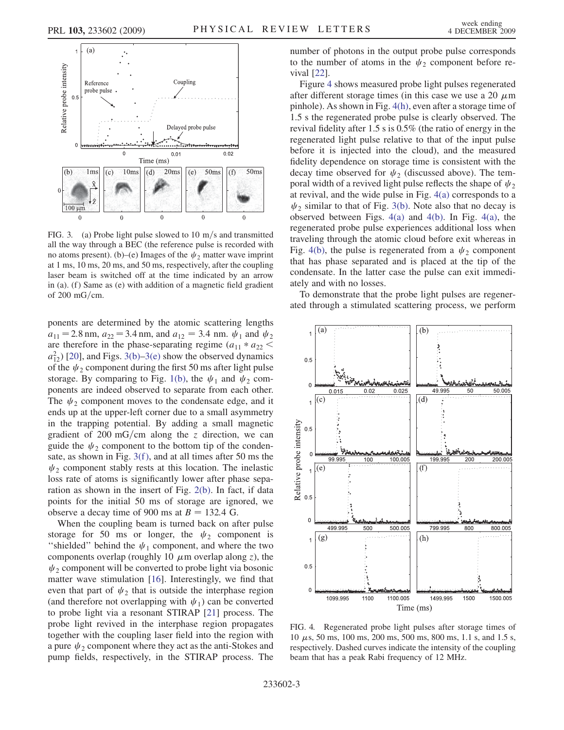

<span id="page-2-0"></span>FIG. 3. (a) Probe light pulse slowed to 10 m/s and transmitted all the way through a BEC (the reference pulse is recorded with no atoms present). (b)–(e) Images of the  $\psi_2$  matter wave imprint at 1 ms, 10 ms, 20 ms, and 50 ms, respectively, after the coupling laser beam is switched off at the time indicated by an arrow in (a). (f) Same as (e) with addition of a magnetic field gradient of  $200 \text{ mG/cm}$ .

ponents are determined by the atomic scattering lengths  $a_{11} = 2.8$  nm,  $a_{22} = 3.4$  nm, and  $a_{12} = 3.4$  nm.  $\psi_1$  and  $\psi_2$ are therefore in the phase-separating regime  $(a_{11} * a_{22} <$  $a_{12}^2$ ) [\[20](#page-3-19)], and Figs. [3\(b\)](#page-2-0)–[3\(e\)](#page-2-0) show the observed dynamics of the  $\psi_2$  component during the first 50 ms after light pulse storage. By comparing to Fig. [1\(b\),](#page-0-0) the  $\psi_1$  and  $\psi_2$  components are indeed observed to separate from each other. The  $\psi_2$  component moves to the condensate edge, and it ends up at the upper-left corner due to a small asymmetry in the trapping potential. By adding a small magnetic gradient of 200 mG/cm along the z direction, we can guide the  $\psi_2$  component to the bottom tip of the condensate, as shown in Fig. [3\(f \),](#page-2-0) and at all times after 50 ms the  $\psi_2$  component stably rests at this location. The inelastic loss rate of atoms is significantly lower after phase separation as shown in the insert of Fig. [2\(b\).](#page-1-1) In fact, if data points for the initial 50 ms of storage are ignored, we observe a decay time of 900 ms at  $B = 132.4$  G.

When the coupling beam is turned back on after pulse storage for 50 ms or longer, the  $\psi_2$  component is "shielded" behind the  $\psi_1$  component, and where the two components overlap (roughly 10  $\mu$ m overlap along z), the  $\psi_2$  component will be converted to probe light via bosonic matter wave stimulation [\[16\]](#page-3-15). Interestingly, we find that even that part of  $\psi_2$  that is outside the interphase region (and therefore not overlapping with  $\psi_1$ ) can be converted to probe light via a resonant STIRAP [[21\]](#page-3-20) process. The probe light revived in the interphase region propagates together with the coupling laser field into the region with a pure  $\psi_2$  component where they act as the anti-Stokes and pump fields, respectively, in the STIRAP process. The number of photons in the output probe pulse corresponds to the number of atoms in the  $\psi_2$  component before revival [\[22\]](#page-3-21).

Figure [4](#page-2-1) shows measured probe light pulses regenerated after different storage times (in this case we use a 20  $\mu$ m pinhole). As shown in Fig. [4\(h\),](#page-2-2) even after a storage time of 1.5 s the regenerated probe pulse is clearly observed. The revival fidelity after 1.5 s is 0.5% (the ratio of energy in the regenerated light pulse relative to that of the input pulse before it is injected into the cloud), and the measured fidelity dependence on storage time is consistent with the decay time observed for  $\psi_2$  (discussed above). The temporal width of a revived light pulse reflects the shape of  $\psi_2$ at revival, and the wide pulse in Fig. [4\(a\)](#page-2-2) corresponds to a  $\psi_2$  similar to that of Fig. [3\(b\)](#page-2-0). Note also that no decay is observed between Figs. [4\(a\)](#page-2-2) and [4\(b\)](#page-2-2). In Fig. [4\(a\),](#page-2-2) the regenerated probe pulse experiences additional loss when traveling through the atomic cloud before exit whereas in Fig. [4\(b\),](#page-2-2) the pulse is regenerated from a  $\psi_2$  component that has phase separated and is placed at the tip of the condensate. In the latter case the pulse can exit immediately and with no losses.

To demonstrate that the probe light pulses are regenerated through a stimulated scattering process, we perform

<span id="page-2-1"></span>

<span id="page-2-2"></span>FIG. 4. Regenerated probe light pulses after storage times of  $10 \mu s$ , 50 ms, 100 ms, 200 ms, 500 ms, 800 ms, 1.1 s, and 1.5 s, respectively. Dashed curves indicate the intensity of the coupling beam that has a peak Rabi frequency of 12 MHz.